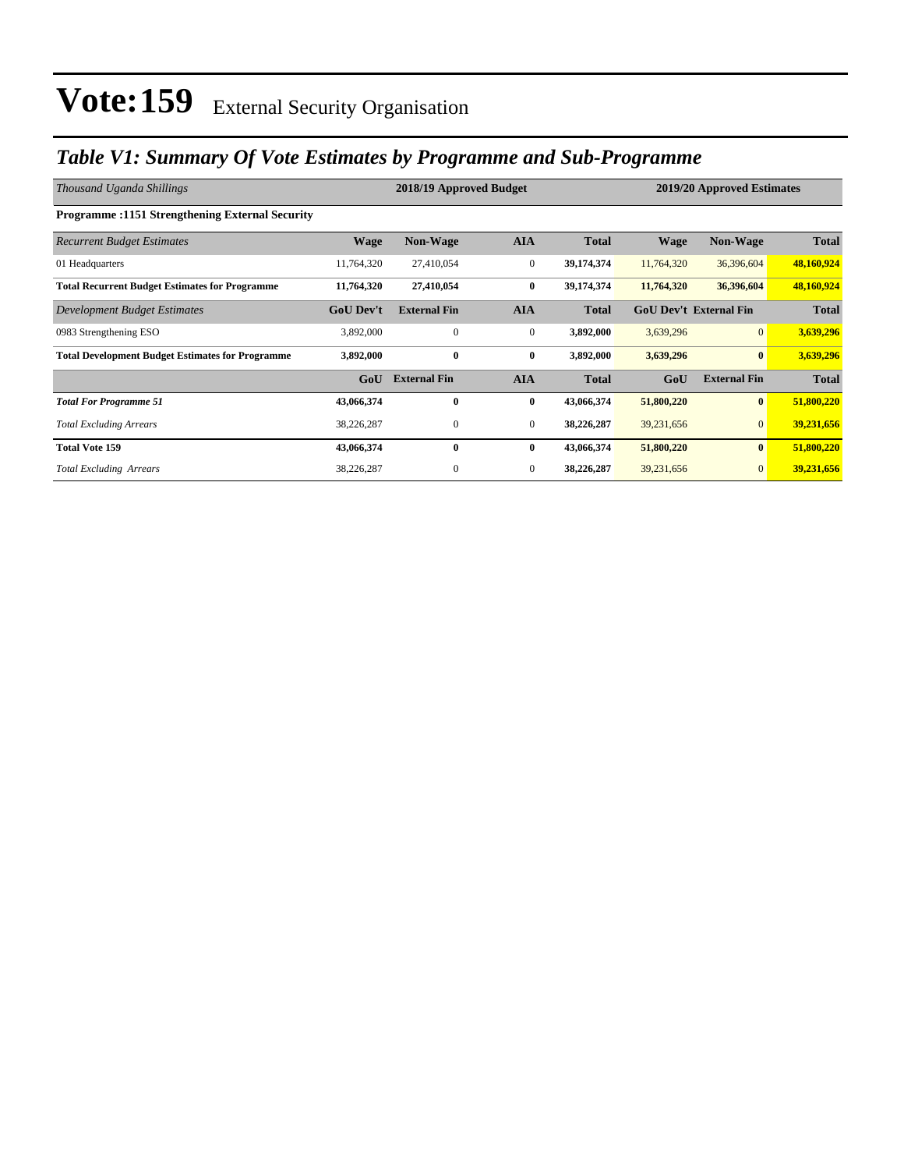### *Table V1: Summary Of Vote Estimates by Programme and Sub-Programme*

| Thousand Uganda Shillings                               |                  | 2018/19 Approved Budget |                  | 2019/20 Approved Estimates |             |                               |              |
|---------------------------------------------------------|------------------|-------------------------|------------------|----------------------------|-------------|-------------------------------|--------------|
| <b>Programme:1151 Strengthening External Security</b>   |                  |                         |                  |                            |             |                               |              |
| <b>Recurrent Budget Estimates</b>                       | <b>Wage</b>      | <b>Non-Wage</b>         | <b>AIA</b>       | <b>Total</b>               | <b>Wage</b> | <b>Non-Wage</b>               | <b>Total</b> |
| 01 Headquarters                                         | 11,764,320       | 27,410,054              | $\boldsymbol{0}$ | 39,174,374                 | 11,764,320  | 36,396,604                    | 48,160,924   |
| <b>Total Recurrent Budget Estimates for Programme</b>   | 11,764,320       | 27,410,054              | $\bf{0}$         | 39,174,374                 | 11,764,320  | 36,396,604                    | 48,160,924   |
| Development Budget Estimates                            | <b>GoU Dev't</b> | <b>External Fin</b>     | <b>AIA</b>       | <b>Total</b>               |             | <b>GoU Dev't External Fin</b> | <b>Total</b> |
| 0983 Strengthening ESO                                  | 3,892,000        | $\mathbf{0}$            | $\boldsymbol{0}$ | 3,892,000                  | 3,639,296   | $\overline{0}$                | 3,639,296    |
| <b>Total Development Budget Estimates for Programme</b> | 3,892,000        | $\bf{0}$                | $\bf{0}$         | 3,892,000                  | 3,639,296   | $\mathbf{0}$                  | 3,639,296    |
|                                                         | GoU              | <b>External Fin</b>     | <b>AIA</b>       | <b>Total</b>               | GoU         | <b>External Fin</b>           | <b>Total</b> |
| <b>Total For Programme 51</b>                           | 43,066,374       | $\bf{0}$                | $\bf{0}$         | 43,066,374                 | 51,800,220  | $\bf{0}$                      | 51,800,220   |
| <b>Total Excluding Arrears</b>                          | 38,226,287       | $\mathbf{0}$            | $\boldsymbol{0}$ | 38,226,287                 | 39,231,656  | $\overline{0}$                | 39,231,656   |
| <b>Total Vote 159</b>                                   | 43,066,374       | $\bf{0}$                | $\bf{0}$         | 43,066,374                 | 51,800,220  | $\bf{0}$                      | 51,800,220   |
| <b>Total Excluding Arrears</b>                          | 38,226,287       | 0                       | $\mathbf{0}$     | 38,226,287                 | 39,231,656  | $\overline{0}$                | 39,231,656   |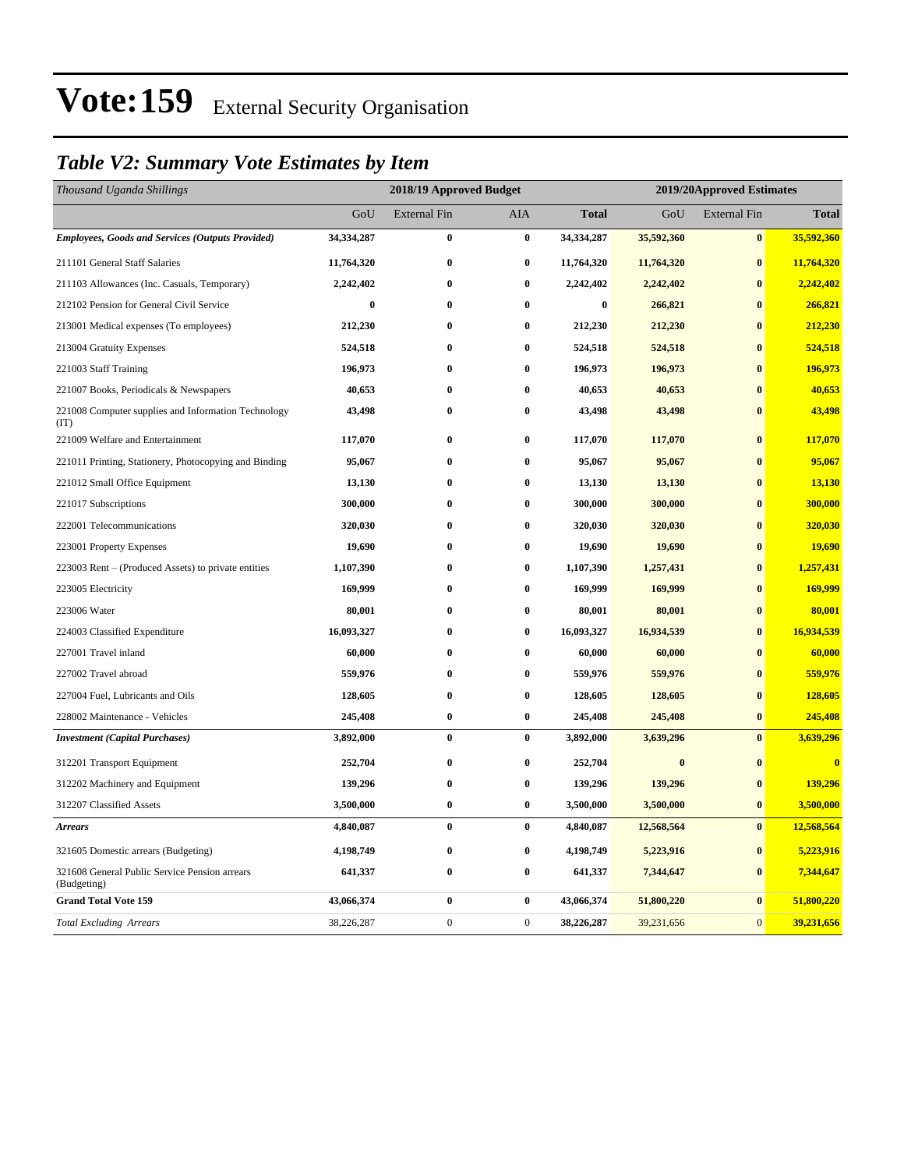### *Table V2: Summary Vote Estimates by Item*

| Thousand Uganda Shillings                                    | 2018/19 Approved Budget |                     |                  |              | 2019/20Approved Estimates |                     |              |  |
|--------------------------------------------------------------|-------------------------|---------------------|------------------|--------------|---------------------------|---------------------|--------------|--|
|                                                              | GoU                     | <b>External Fin</b> | AIA              | <b>Total</b> | GoU                       | <b>External Fin</b> | <b>Total</b> |  |
| <b>Employees, Goods and Services (Outputs Provided)</b>      | 34,334,287              | $\bf{0}$            | $\bf{0}$         | 34,334,287   | 35,592,360                | $\bf{0}$            | 35,592,360   |  |
| 211101 General Staff Salaries                                | 11,764,320              | $\bf{0}$            | $\bf{0}$         | 11,764,320   | 11,764,320                | $\bf{0}$            | 11,764,320   |  |
| 211103 Allowances (Inc. Casuals, Temporary)                  | 2,242,402               | $\bf{0}$            | $\bf{0}$         | 2,242,402    | 2,242,402                 | $\bf{0}$            | 2,242,402    |  |
| 212102 Pension for General Civil Service                     | $\bf{0}$                | $\bf{0}$            | $\bf{0}$         | $\bf{0}$     | 266,821                   | $\bf{0}$            | 266,821      |  |
| 213001 Medical expenses (To employees)                       | 212,230                 | $\bf{0}$            | $\bf{0}$         | 212,230      | 212,230                   | $\bf{0}$            | 212,230      |  |
| 213004 Gratuity Expenses                                     | 524,518                 | $\bf{0}$            | $\bf{0}$         | 524,518      | 524,518                   | $\bf{0}$            | 524,518      |  |
| 221003 Staff Training                                        | 196,973                 | $\bf{0}$            | $\bf{0}$         | 196,973      | 196,973                   | $\bf{0}$            | 196,973      |  |
| 221007 Books, Periodicals & Newspapers                       | 40,653                  | $\bf{0}$            | $\bf{0}$         | 40,653       | 40,653                    | $\bf{0}$            | 40,653       |  |
| 221008 Computer supplies and Information Technology<br>(TT)  | 43,498                  | $\bf{0}$            | $\bf{0}$         | 43,498       | 43,498                    | $\bf{0}$            | 43,498       |  |
| 221009 Welfare and Entertainment                             | 117,070                 | $\bf{0}$            | $\bf{0}$         | 117,070      | 117,070                   | $\bf{0}$            | 117,070      |  |
| 221011 Printing, Stationery, Photocopying and Binding        | 95,067                  | $\bf{0}$            | $\bf{0}$         | 95,067       | 95,067                    | $\bf{0}$            | 95,067       |  |
| 221012 Small Office Equipment                                | 13,130                  | $\bf{0}$            | $\bf{0}$         | 13,130       | 13,130                    | $\bf{0}$            | 13,130       |  |
| 221017 Subscriptions                                         | 300,000                 | $\bf{0}$            | $\bf{0}$         | 300,000      | 300,000                   | $\bf{0}$            | 300,000      |  |
| 222001 Telecommunications                                    | 320,030                 | $\bf{0}$            | $\bf{0}$         | 320,030      | 320,030                   | $\bf{0}$            | 320,030      |  |
| 223001 Property Expenses                                     | 19,690                  | $\bf{0}$            | $\bf{0}$         | 19,690       | 19,690                    | $\bf{0}$            | 19,690       |  |
| 223003 Rent – (Produced Assets) to private entities          | 1,107,390               | $\bf{0}$            | $\bf{0}$         | 1,107,390    | 1,257,431                 | $\bf{0}$            | 1,257,431    |  |
| 223005 Electricity                                           | 169,999                 | $\pmb{0}$           | $\bf{0}$         | 169,999      | 169,999                   | $\bf{0}$            | 169,999      |  |
| 223006 Water                                                 | 80,001                  | $\bf{0}$            | $\bf{0}$         | 80,001       | 80,001                    | $\bf{0}$            | 80,001       |  |
| 224003 Classified Expenditure                                | 16,093,327              | $\bf{0}$            | $\bf{0}$         | 16,093,327   | 16,934,539                | $\bf{0}$            | 16,934,539   |  |
| 227001 Travel inland                                         | 60,000                  | $\bf{0}$            | $\bf{0}$         | 60,000       | 60,000                    | $\bf{0}$            | 60,000       |  |
| 227002 Travel abroad                                         | 559,976                 | $\bf{0}$            | $\bf{0}$         | 559,976      | 559,976                   | $\bf{0}$            | 559,976      |  |
| 227004 Fuel, Lubricants and Oils                             | 128,605                 | $\bf{0}$            | $\bf{0}$         | 128,605      | 128,605                   | $\bf{0}$            | 128,605      |  |
| 228002 Maintenance - Vehicles                                | 245,408                 | $\bf{0}$            | $\bf{0}$         | 245,408      | 245,408                   | $\bf{0}$            | 245,408      |  |
| <b>Investment</b> (Capital Purchases)                        | 3,892,000               | $\bf{0}$            | $\bf{0}$         | 3,892,000    | 3,639,296                 | $\bf{0}$            | 3,639,296    |  |
| 312201 Transport Equipment                                   | 252,704                 | $\bf{0}$            | $\bf{0}$         | 252,704      | $\bf{0}$                  | $\bf{0}$            | $\bf{0}$     |  |
| 312202 Machinery and Equipment                               | 139,296                 | $\bf{0}$            | $\bf{0}$         | 139,296      | 139,296                   | $\bf{0}$            | 139,296      |  |
| 312207 Classified Assets                                     | 3,500,000               | $\bf{0}$            | $\bf{0}$         | 3,500,000    | 3,500,000                 | $\bf{0}$            | 3,500,000    |  |
| <b>Arrears</b>                                               | 4,840,087               | $\bf{0}$            | $\bf{0}$         | 4,840,087    | 12,568,564                | $\bf{0}$            | 12,568,564   |  |
| 321605 Domestic arrears (Budgeting)                          | 4,198,749               | $\bf{0}$            | $\bf{0}$         | 4,198,749    | 5,223,916                 | $\bf{0}$            | 5,223,916    |  |
| 321608 General Public Service Pension arrears<br>(Budgeting) | 641,337                 | $\bf{0}$            | $\bf{0}$         | 641,337      | 7,344,647                 | $\bf{0}$            | 7,344,647    |  |
| <b>Grand Total Vote 159</b>                                  | 43,066,374              | $\bf{0}$            | $\bf{0}$         | 43,066,374   | 51,800,220                | $\bf{0}$            | 51,800,220   |  |
| <b>Total Excluding Arrears</b>                               | 38,226,287              | $\boldsymbol{0}$    | $\boldsymbol{0}$ | 38,226,287   | 39,231,656                | $\mathbf{0}$        | 39,231,656   |  |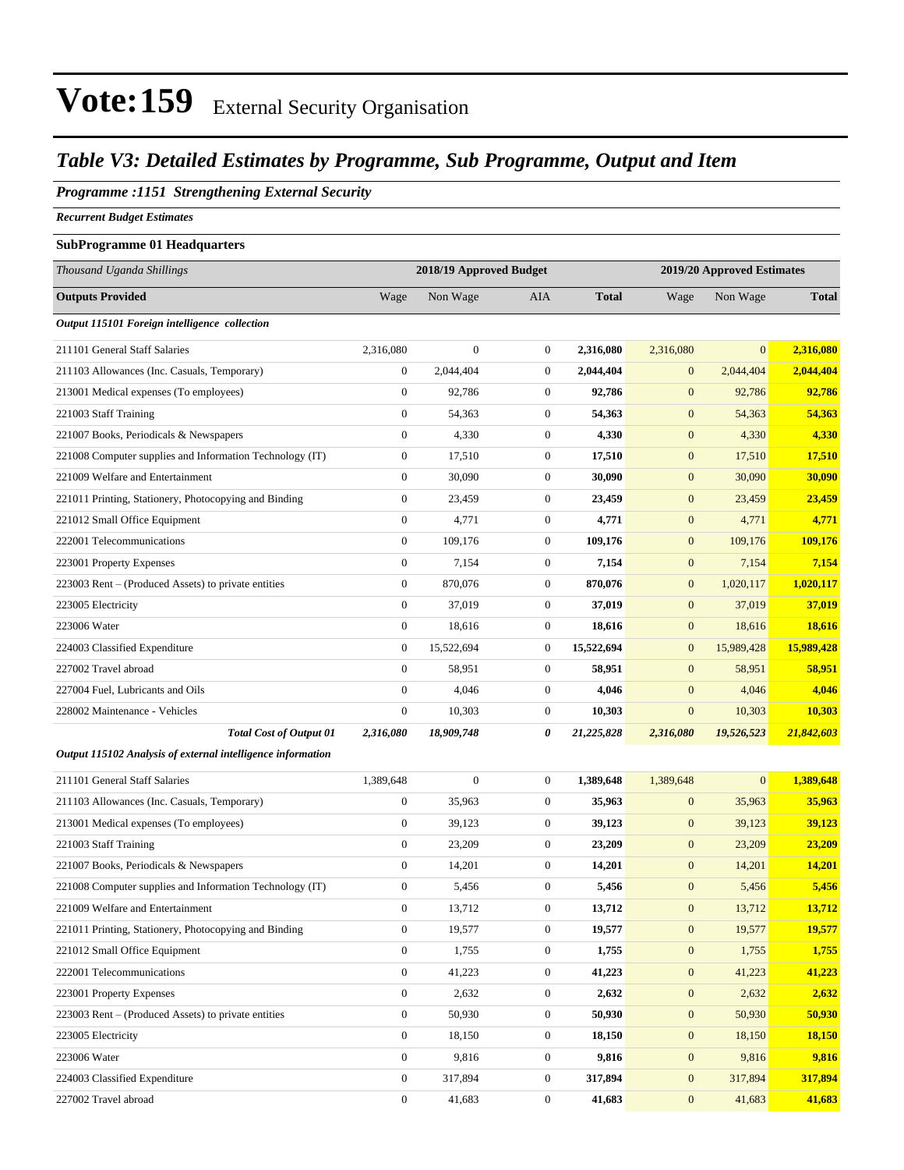### *Table V3: Detailed Estimates by Programme, Sub Programme, Output and Item*

#### *Programme :1151 Strengthening External Security*

*Recurrent Budget Estimates*

#### **SubProgramme 01 Headquarters**

| Thousand Uganda Shillings                                   | 2018/19 Approved Budget |                  |                  |              | 2019/20 Approved Estimates |                |              |
|-------------------------------------------------------------|-------------------------|------------------|------------------|--------------|----------------------------|----------------|--------------|
| <b>Outputs Provided</b>                                     | Wage                    | Non Wage         | AIA              | <b>Total</b> | Wage                       | Non Wage       | <b>Total</b> |
| Output 115101 Foreign intelligence collection               |                         |                  |                  |              |                            |                |              |
| 211101 General Staff Salaries                               | 2,316,080               | $\boldsymbol{0}$ | $\mathbf{0}$     | 2,316,080    | 2,316,080                  | $\mathbf{0}$   | 2,316,080    |
| 211103 Allowances (Inc. Casuals, Temporary)                 | $\boldsymbol{0}$        | 2,044,404        | $\mathbf{0}$     | 2,044,404    | $\boldsymbol{0}$           | 2,044,404      | 2,044,404    |
| 213001 Medical expenses (To employees)                      | $\mathbf{0}$            | 92,786           | $\mathbf{0}$     | 92,786       | $\mathbf{0}$               | 92,786         | 92,786       |
| 221003 Staff Training                                       | $\boldsymbol{0}$        | 54,363           | $\mathbf{0}$     | 54,363       | $\boldsymbol{0}$           | 54,363         | 54,363       |
| 221007 Books, Periodicals & Newspapers                      | $\boldsymbol{0}$        | 4,330            | $\boldsymbol{0}$ | 4,330        | $\boldsymbol{0}$           | 4,330          | 4,330        |
| 221008 Computer supplies and Information Technology (IT)    | $\mathbf{0}$            | 17,510           | $\boldsymbol{0}$ | 17,510       | $\boldsymbol{0}$           | 17,510         | 17,510       |
| 221009 Welfare and Entertainment                            | $\boldsymbol{0}$        | 30,090           | $\mathbf{0}$     | 30,090       | $\boldsymbol{0}$           | 30,090         | 30,090       |
| 221011 Printing, Stationery, Photocopying and Binding       | $\mathbf{0}$            | 23,459           | $\mathbf{0}$     | 23,459       | $\boldsymbol{0}$           | 23,459         | 23,459       |
| 221012 Small Office Equipment                               | $\boldsymbol{0}$        | 4,771            | $\mathbf{0}$     | 4,771        | $\boldsymbol{0}$           | 4,771          | 4,771        |
| 222001 Telecommunications                                   | $\boldsymbol{0}$        | 109,176          | $\mathbf{0}$     | 109,176      | $\boldsymbol{0}$           | 109,176        | 109,176      |
| 223001 Property Expenses                                    | $\boldsymbol{0}$        | 7,154            | $\mathbf{0}$     | 7,154        | $\boldsymbol{0}$           | 7,154          | 7,154        |
| 223003 Rent – (Produced Assets) to private entities         | $\boldsymbol{0}$        | 870,076          | $\mathbf{0}$     | 870,076      | $\boldsymbol{0}$           | 1,020,117      | 1,020,117    |
| 223005 Electricity                                          | $\overline{0}$          | 37.019           | $\mathbf{0}$     | 37,019       | $\mathbf{0}$               | 37,019         | 37,019       |
| 223006 Water                                                | $\boldsymbol{0}$        | 18,616           | $\mathbf{0}$     | 18,616       | $\boldsymbol{0}$           | 18,616         | 18,616       |
| 224003 Classified Expenditure                               | $\mathbf{0}$            | 15,522,694       | $\mathbf{0}$     | 15,522,694   | $\mathbf{0}$               | 15,989,428     | 15,989,428   |
| 227002 Travel abroad                                        | $\mathbf{0}$            | 58,951           | $\mathbf{0}$     | 58,951       | $\mathbf{0}$               | 58,951         | 58,951       |
| 227004 Fuel, Lubricants and Oils                            | $\boldsymbol{0}$        | 4,046            | $\mathbf{0}$     | 4,046        | $\boldsymbol{0}$           | 4,046          | 4,046        |
| 228002 Maintenance - Vehicles                               | $\mathbf{0}$            | 10,303           | $\mathbf{0}$     | 10,303       | $\boldsymbol{0}$           | 10,303         | 10,303       |
| <b>Total Cost of Output 01</b>                              | 2,316,080               | 18,909,748       | 0                | 21,225,828   | 2,316,080                  | 19,526,523     | 21,842,603   |
| Output 115102 Analysis of external intelligence information |                         |                  |                  |              |                            |                |              |
| 211101 General Staff Salaries                               | 1,389,648               | $\overline{0}$   | $\mathbf{0}$     | 1,389,648    | 1,389,648                  | $\overline{0}$ | 1,389,648    |
| 211103 Allowances (Inc. Casuals, Temporary)                 | $\mathbf{0}$            | 35,963           | $\mathbf{0}$     | 35,963       | $\boldsymbol{0}$           | 35,963         | 35,963       |
| 213001 Medical expenses (To employees)                      | $\boldsymbol{0}$        | 39,123           | $\mathbf{0}$     | 39,123       | $\boldsymbol{0}$           | 39,123         | 39,123       |
| 221003 Staff Training                                       | $\mathbf{0}$            | 23,209           | $\mathbf{0}$     | 23,209       | $\mathbf{0}$               | 23,209         | 23,209       |
| 221007 Books, Periodicals & Newspapers                      | $\boldsymbol{0}$        | 14,201           | $\mathbf{0}$     | 14,201       | $\boldsymbol{0}$           | 14,201         | 14,201       |
| 221008 Computer supplies and Information Technology (IT)    | $\boldsymbol{0}$        | 5,456            | $\boldsymbol{0}$ | 5,456        | $\boldsymbol{0}$           | 5,456          | 5,456        |
| 221009 Welfare and Entertainment                            | $\boldsymbol{0}$        | 13,712           | $\mathbf{0}$     | 13,712       | $\boldsymbol{0}$           | 13,712         | 13,712       |
| 221011 Printing, Stationery, Photocopying and Binding       | $\boldsymbol{0}$        | 19,577           | $\boldsymbol{0}$ | 19,577       | $\boldsymbol{0}$           | 19,577         | 19,577       |
| 221012 Small Office Equipment                               | $\boldsymbol{0}$        | 1,755            | $\boldsymbol{0}$ | 1,755        | $\boldsymbol{0}$           | 1,755          | 1,755        |
| 222001 Telecommunications                                   | $\overline{0}$          | 41,223           | $\boldsymbol{0}$ | 41,223       | $\boldsymbol{0}$           | 41,223         | 41,223       |
| 223001 Property Expenses                                    | $\overline{0}$          | 2,632            | $\boldsymbol{0}$ | 2,632        | $\boldsymbol{0}$           | 2,632          | 2,632        |
| 223003 Rent – (Produced Assets) to private entities         | $\boldsymbol{0}$        | 50,930           | $\boldsymbol{0}$ | 50,930       | $\mathbf{0}$               | 50,930         | 50,930       |
| 223005 Electricity                                          | $\boldsymbol{0}$        | 18,150           | $\overline{0}$   | 18,150       | $\boldsymbol{0}$           | 18,150         | 18,150       |
| 223006 Water                                                | $\overline{0}$          | 9,816            | $\overline{0}$   | 9,816        | $\boldsymbol{0}$           | 9,816          | 9,816        |
| 224003 Classified Expenditure                               | $\overline{0}$          | 317,894          | $\mathbf{0}$     | 317,894      | $\boldsymbol{0}$           | 317,894        | 317,894      |
| 227002 Travel abroad                                        | $\boldsymbol{0}$        | 41,683           | $\boldsymbol{0}$ | 41,683       | $\boldsymbol{0}$           | 41,683         | 41,683       |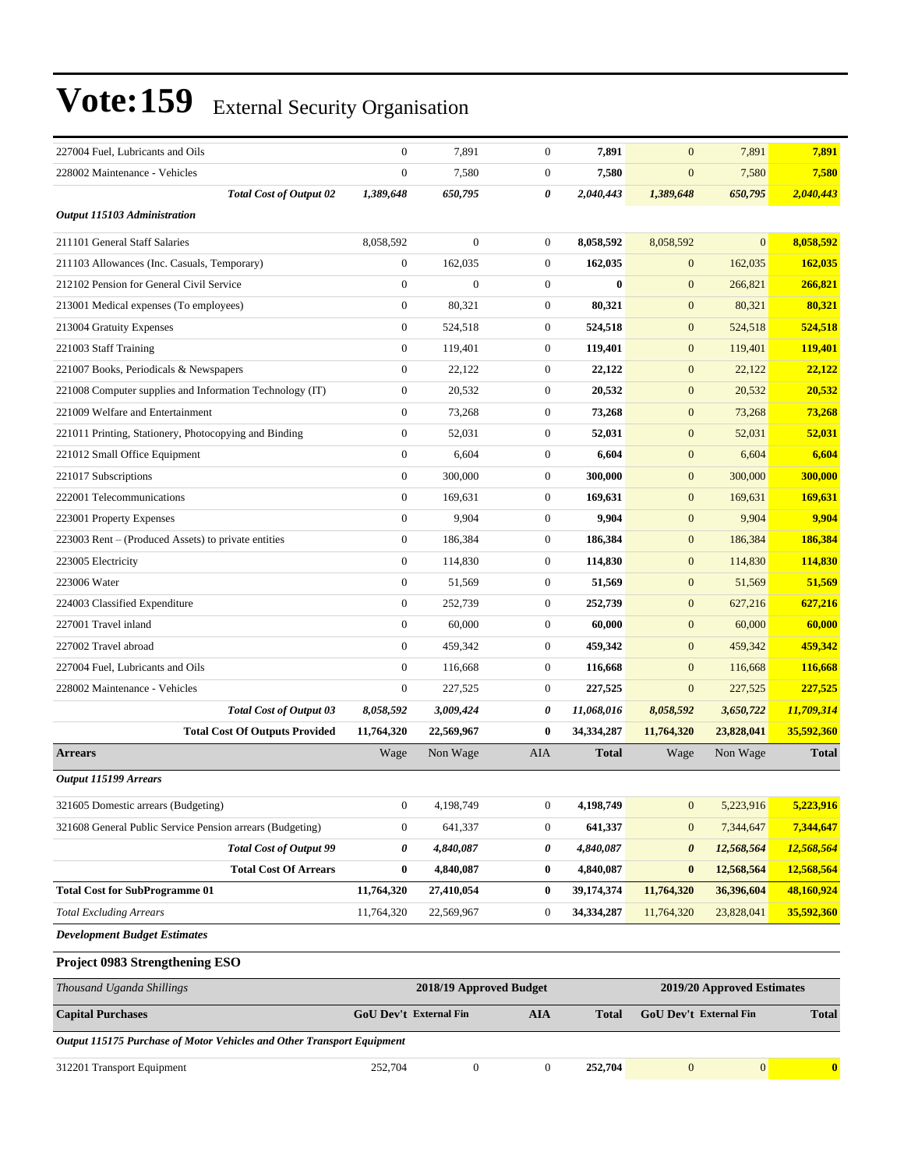| 227004 Fuel, Lubricants and Oils                          | $\mathbf{0}$                  | 7,891                   | $\boldsymbol{0}$      | 7,891        | $\overline{0}$         | 7,891                      | 7,891        |
|-----------------------------------------------------------|-------------------------------|-------------------------|-----------------------|--------------|------------------------|----------------------------|--------------|
| 228002 Maintenance - Vehicles                             | $\mathbf{0}$                  | 7,580                   | $\boldsymbol{0}$      | 7,580        | $\mathbf{0}$           | 7,580                      | 7,580        |
| <b>Total Cost of Output 02</b>                            | 1,389,648                     | 650,795                 | $\boldsymbol{\theta}$ | 2,040,443    | 1,389,648              | 650,795                    | 2,040,443    |
| <b>Output 115103 Administration</b>                       |                               |                         |                       |              |                        |                            |              |
| 211101 General Staff Salaries                             | 8,058,592                     | $\mathbf{0}$            | $\boldsymbol{0}$      | 8,058,592    | 8,058,592              | $\Omega$                   | 8,058,592    |
| 211103 Allowances (Inc. Casuals, Temporary)               | $\boldsymbol{0}$              | 162,035                 | $\boldsymbol{0}$      | 162,035      | $\mathbf{0}$           | 162,035                    | 162,035      |
| 212102 Pension for General Civil Service                  | $\mathbf{0}$                  | $\Omega$                | $\mathbf{0}$          | $\mathbf{0}$ | $\mathbf{0}$           | 266,821                    | 266,821      |
| 213001 Medical expenses (To employees)                    | $\mathbf{0}$                  | 80,321                  | $\mathbf{0}$          | 80,321       | $\mathbf{0}$           | 80,321                     | 80,321       |
| 213004 Gratuity Expenses                                  | $\boldsymbol{0}$              | 524,518                 | $\boldsymbol{0}$      | 524,518      | $\boldsymbol{0}$       | 524,518                    | 524,518      |
| 221003 Staff Training                                     | $\boldsymbol{0}$              | 119,401                 | $\boldsymbol{0}$      | 119,401      | $\mathbf{0}$           | 119,401                    | 119,401      |
| 221007 Books, Periodicals & Newspapers                    | $\boldsymbol{0}$              | 22,122                  | $\boldsymbol{0}$      | 22,122       | $\mathbf{0}$           | 22,122                     | 22,122       |
| 221008 Computer supplies and Information Technology (IT)  | $\mathbf{0}$                  | 20,532                  | $\mathbf{0}$          | 20,532       | $\mathbf{0}$           | 20,532                     | 20,532       |
| 221009 Welfare and Entertainment                          | $\mathbf{0}$                  | 73,268                  | $\mathbf{0}$          | 73,268       | $\mathbf{0}$           | 73,268                     | 73,268       |
| 221011 Printing, Stationery, Photocopying and Binding     | $\boldsymbol{0}$              | 52,031                  | $\boldsymbol{0}$      | 52,031       | $\boldsymbol{0}$       | 52,031                     | 52,031       |
| 221012 Small Office Equipment                             | $\boldsymbol{0}$              | 6,604                   | $\boldsymbol{0}$      | 6,604        | $\mathbf{0}$           | 6,604                      | 6,604        |
| 221017 Subscriptions                                      | $\mathbf{0}$                  | 300,000                 | $\boldsymbol{0}$      | 300,000      | $\overline{0}$         | 300,000                    | 300,000      |
| 222001 Telecommunications                                 | $\mathbf{0}$                  | 169,631                 | $\mathbf{0}$          | 169,631      | $\mathbf{0}$           | 169,631                    | 169,631      |
| 223001 Property Expenses                                  | $\mathbf{0}$                  | 9,904                   | $\mathbf{0}$          | 9,904        | $\mathbf{0}$           | 9,904                      | 9,904        |
| 223003 Rent – (Produced Assets) to private entities       | $\boldsymbol{0}$              | 186,384                 | $\boldsymbol{0}$      | 186,384      | $\boldsymbol{0}$       | 186,384                    | 186,384      |
| 223005 Electricity                                        | $\boldsymbol{0}$              | 114,830                 | $\boldsymbol{0}$      | 114,830      | $\mathbf{0}$           | 114,830                    | 114,830      |
| 223006 Water                                              | $\boldsymbol{0}$              | 51,569                  | $\boldsymbol{0}$      | 51,569       | $\overline{0}$         | 51,569                     | 51,569       |
| 224003 Classified Expenditure                             | $\mathbf{0}$                  | 252,739                 | $\mathbf{0}$          | 252,739      | $\mathbf{0}$           | 627,216                    | 627,216      |
| 227001 Travel inland                                      | $\mathbf{0}$                  | 60,000                  | $\mathbf{0}$          | 60,000       | $\mathbf{0}$           | 60,000                     | 60,000       |
| 227002 Travel abroad                                      | $\mathbf{0}$                  | 459,342                 | $\boldsymbol{0}$      | 459,342      | $\mathbf{0}$           | 459,342                    | 459,342      |
| 227004 Fuel, Lubricants and Oils                          | $\boldsymbol{0}$              | 116,668                 | $\boldsymbol{0}$      | 116,668      | $\mathbf{0}$           | 116,668                    | 116,668      |
| 228002 Maintenance - Vehicles                             | $\mathbf{0}$                  | 227,525                 | $\boldsymbol{0}$      | 227,525      | $\overline{0}$         | 227,525                    | 227,525      |
| <b>Total Cost of Output 03</b>                            | 8,058,592                     | 3,009,424               | 0                     | 11,068,016   | 8,058,592              | 3,650,722                  | 11,709,314   |
| <b>Total Cost Of Outputs Provided</b>                     | 11,764,320                    | 22,569,967              | $\bf{0}$              | 34,334,287   | 11,764,320             | 23,828,041                 | 35,592,360   |
| <b>Arrears</b>                                            | Wage                          | Non Wage                | AIA                   | <b>Total</b> | Wage                   | Non Wage                   | <b>Total</b> |
| <b>Output 115199 Arrears</b>                              |                               |                         |                       |              |                        |                            |              |
| 321605 Domestic arrears (Budgeting)                       | $\boldsymbol{0}$              | 4,198,749               | $\boldsymbol{0}$      | 4,198,749    | $\boldsymbol{0}$       | 5,223,916                  | 5,223,916    |
| 321608 General Public Service Pension arrears (Budgeting) | $\boldsymbol{0}$              | 641,337                 | $\boldsymbol{0}$      | 641,337      | $\mathbf{0}$           | 7,344,647                  | 7,344,647    |
| <b>Total Cost of Output 99</b>                            | 0                             | 4,840,087               | 0                     | 4,840,087    | $\boldsymbol{\theta}$  | 12,568,564                 | 12,568,564   |
| <b>Total Cost Of Arrears</b>                              | $\bf{0}$                      | 4,840,087               | $\boldsymbol{0}$      | 4,840,087    | $\bf{0}$               | 12,568,564                 | 12,568,564   |
| <b>Total Cost for SubProgramme 01</b>                     | 11,764,320                    | 27,410,054              | $\bf{0}$              | 39,174,374   | 11,764,320             | 36,396,604                 | 48,160,924   |
| <b>Total Excluding Arrears</b>                            | 11,764,320                    | 22,569,967              | $\boldsymbol{0}$      | 34,334,287   | 11,764,320             | 23,828,041                 | 35,592,360   |
| <b>Development Budget Estimates</b>                       |                               |                         |                       |              |                        |                            |              |
| Project 0983 Strengthening ESO                            |                               |                         |                       |              |                        |                            |              |
| Thousand Uganda Shillings                                 |                               | 2018/19 Approved Budget |                       |              |                        | 2019/20 Approved Estimates |              |
|                                                           | <b>GoU Dev't External Fin</b> |                         |                       |              | GoU Dev't External Fin |                            | <b>Total</b> |
| <b>Capital Purchases</b>                                  |                               |                         | <b>AIA</b>            | <b>Total</b> |                        |                            |              |

*Output 115175 Purchase of Motor Vehicles and Other Transport Equipment* 312201 Transport Equipment 252,704 0 0 **252,704** 0 0 **0**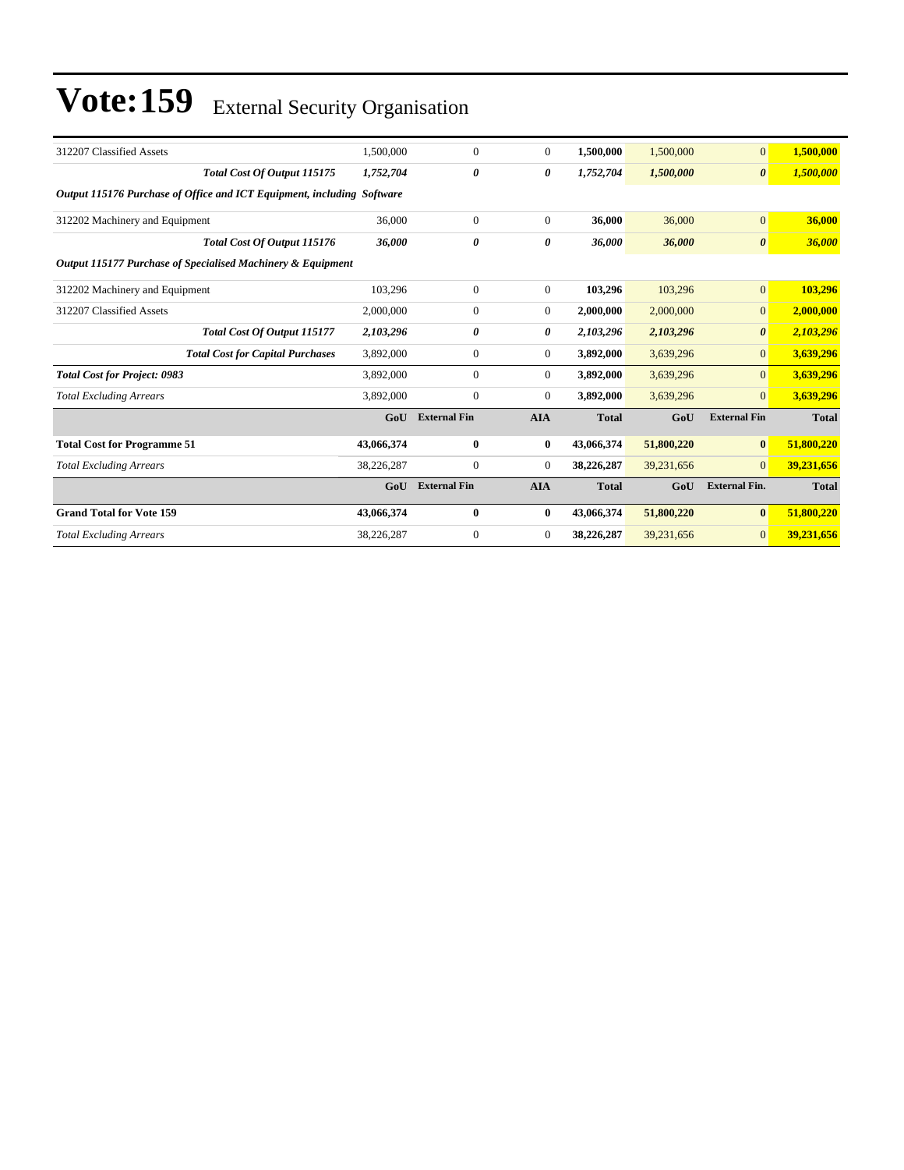| 312207 Classified Assets                                               | 1,500,000  | $\Omega$            | $\mathbf{0}$   | 1,500,000    | 1,500,000  | $\mathbf{0}$          | 1,500,000    |  |
|------------------------------------------------------------------------|------------|---------------------|----------------|--------------|------------|-----------------------|--------------|--|
| Total Cost Of Output 115175                                            | 1,752,704  | 0                   | 0              | 1,752,704    | 1,500,000  | $\boldsymbol{\theta}$ | 1,500,000    |  |
| Output 115176 Purchase of Office and ICT Equipment, including Software |            |                     |                |              |            |                       |              |  |
| 312202 Machinery and Equipment                                         | 36,000     | $\Omega$            | $\theta$       | 36,000       | 36,000     | $\mathbf{0}$          | 36,000       |  |
| Total Cost Of Output 115176                                            | 36,000     | 0                   | 0              | 36,000       | 36,000     | $\boldsymbol{\theta}$ | 36,000       |  |
| Output 115177 Purchase of Specialised Machinery & Equipment            |            |                     |                |              |            |                       |              |  |
| 312202 Machinery and Equipment                                         | 103,296    | $\mathbf{0}$        | $\theta$       | 103,296      | 103,296    | $\overline{0}$        | 103,296      |  |
| 312207 Classified Assets                                               | 2,000,000  | $\Omega$            | $\mathbf{0}$   | 2,000,000    | 2,000,000  | $\overline{0}$        | 2,000,000    |  |
| Total Cost Of Output 115177                                            | 2,103,296  | 0                   | 0              | 2,103,296    | 2,103,296  | $\boldsymbol{\theta}$ | 2,103,296    |  |
| <b>Total Cost for Capital Purchases</b>                                | 3,892,000  | $\mathbf{0}$        | $\mathbf{0}$   | 3,892,000    | 3,639,296  | $\overline{0}$        | 3,639,296    |  |
| <b>Total Cost for Project: 0983</b>                                    | 3,892,000  | $\Omega$            | $\overline{0}$ | 3,892,000    | 3,639,296  | $\overline{0}$        | 3,639,296    |  |
| <b>Total Excluding Arrears</b>                                         | 3,892,000  | $\mathbf{0}$        | $\mathbf{0}$   | 3,892,000    | 3,639,296  | $\overline{0}$        | 3,639,296    |  |
|                                                                        | GoU        | <b>External Fin</b> | <b>AIA</b>     | <b>Total</b> | GoU        | <b>External Fin</b>   | <b>Total</b> |  |
| <b>Total Cost for Programme 51</b>                                     | 43,066,374 | $\bf{0}$            | $\bf{0}$       | 43,066,374   | 51,800,220 | $\bf{0}$              | 51,800,220   |  |
| <b>Total Excluding Arrears</b>                                         | 38,226,287 | $\mathbf{0}$        | $\mathbf{0}$   | 38,226,287   | 39,231,656 | $\mathbf{0}$          | 39,231,656   |  |
|                                                                        | GoU        | <b>External Fin</b> | <b>AIA</b>     | <b>Total</b> | GoU        | <b>External Fin.</b>  | <b>Total</b> |  |
| <b>Grand Total for Vote 159</b>                                        | 43,066,374 | $\mathbf{0}$        | $\bf{0}$       | 43,066,374   | 51,800,220 | $\bf{0}$              | 51,800,220   |  |
| <b>Total Excluding Arrears</b>                                         | 38,226,287 | $\Omega$            | $\mathbf{0}$   | 38,226,287   | 39,231,656 | $\overline{0}$        | 39,231,656   |  |